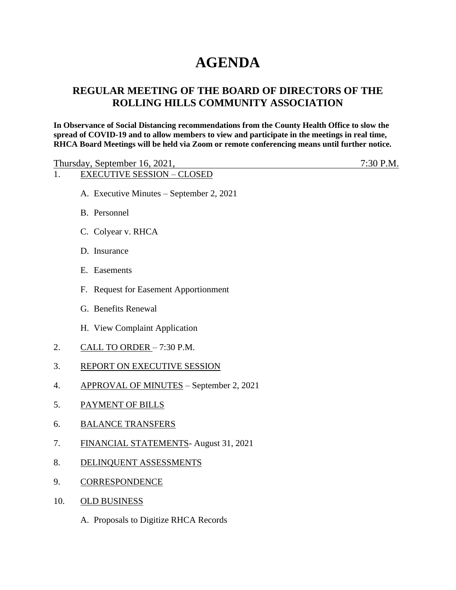# **AGENDA**

## **REGULAR MEETING OF THE BOARD OF DIRECTORS OF THE ROLLING HILLS COMMUNITY ASSOCIATION**

**In Observance of Social Distancing recommendations from the County Health Office to slow the spread of COVID-19 and to allow members to view and participate in the meetings in real time, RHCA Board Meetings will be held via Zoom or remote conferencing means until further notice.** 

| Thursday, September 16, 2021,     | $7:30$ P.M. |
|-----------------------------------|-------------|
| <b>EXECUTIVE SESSION – CLOSED</b> |             |

- A. Executive Minutes September 2, 2021
- B. Personnel
- C. Colyear v. RHCA
- D. Insurance
- E. Easements
- F. Request for Easement Apportionment
- G. Benefits Renewal
- H. View Complaint Application
- 2. CALL TO ORDER 7:30 P.M.
- 3. REPORT ON EXECUTIVE SESSION
- 4. APPROVAL OF MINUTES September 2, 2021
- 5. PAYMENT OF BILLS
- 6. BALANCE TRANSFERS
- 7. FINANCIAL STATEMENTS- August 31, 2021
- 8. DELINQUENT ASSESSMENTS
- 9. CORRESPONDENCE
- 10. OLD BUSINESS
	- A. Proposals to Digitize RHCA Records